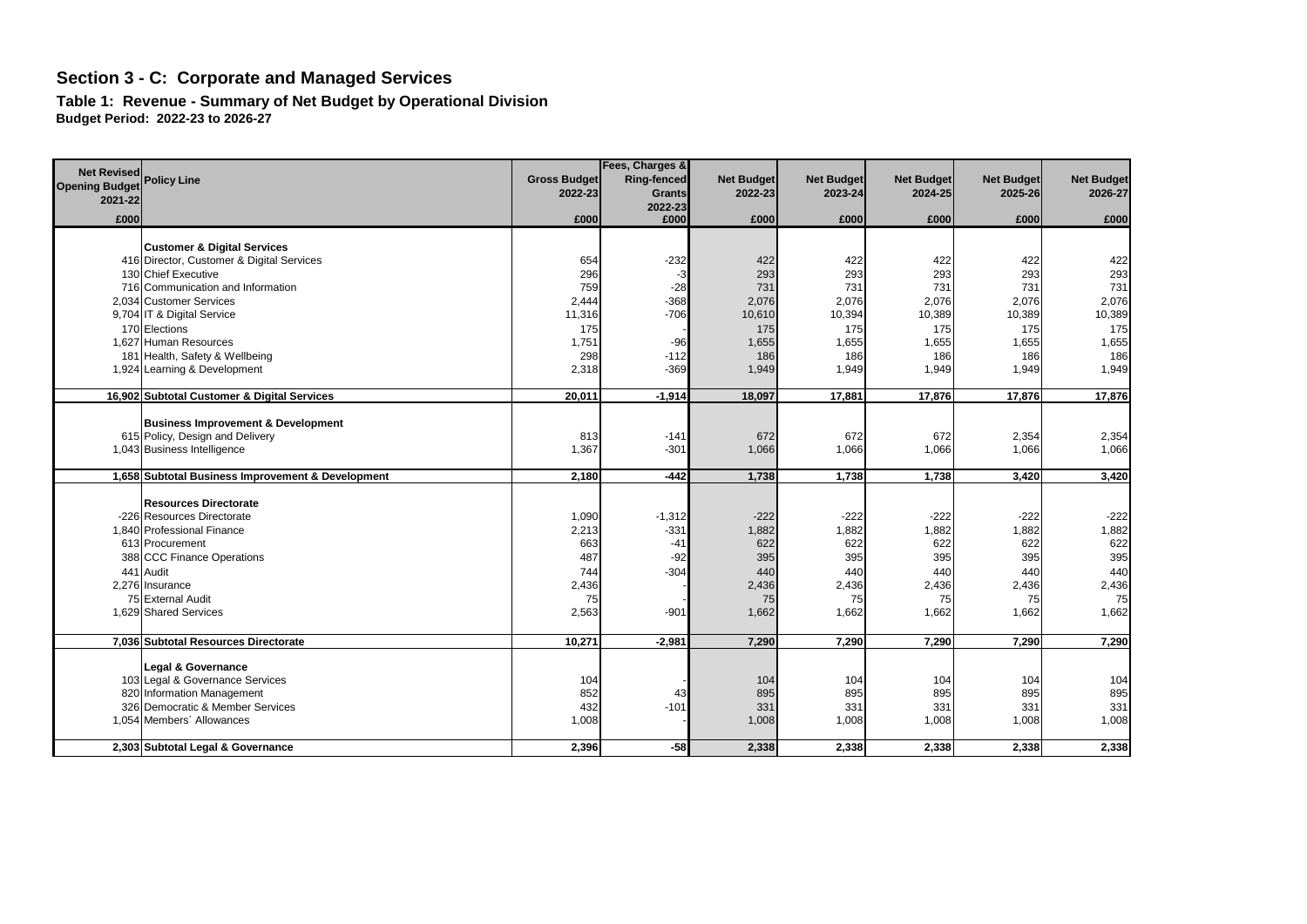**Table 1: Revenue - Summary of Net Budget by Operational Division Budget Period: 2022-23 to 2026-27**

|                                             |                                                               |                     | Fees, Charges & |                   |                   |                   |                   |                   |
|---------------------------------------------|---------------------------------------------------------------|---------------------|-----------------|-------------------|-------------------|-------------------|-------------------|-------------------|
| <b>Net Revised</b><br><b>Opening Budget</b> | <b>Policy Line</b>                                            | <b>Gross Budget</b> | Ring-fenced     | <b>Net Budget</b> | <b>Net Budget</b> | <b>Net Budget</b> | <b>Net Budget</b> | <b>Net Budget</b> |
| 2021-22                                     |                                                               | 2022-23             | <b>Grants</b>   | 2022-23           | 2023-24           | 2024-25           | 2025-26           | 2026-27           |
|                                             |                                                               |                     | 2022-23         |                   |                   |                   |                   |                   |
| £000                                        |                                                               | £000                | £000            | £000              | £000              | £000              | £000              | £000              |
|                                             | <b>Customer &amp; Digital Services</b>                        |                     |                 |                   |                   |                   |                   |                   |
|                                             | 416 Director, Customer & Digital Services                     | 654                 | $-232$          | 422               | 422               | 422               | 422               | 422               |
|                                             | 130 Chief Executive                                           | 296                 | -3              | 293               | 293               | 293               | 293               | 293               |
|                                             | 716 Communication and Information                             | 759                 | $-28$           | 731               | 731               | 731               | 731               | 731               |
|                                             | 2.034 Customer Services                                       | 2,444               | $-368$          | 2,076             | 2,076             | 2,076             | 2,076             | 2,076             |
|                                             | 9,704 IT & Digital Service                                    | 11,316              | $-706$          | 10,610            | 10,394            | 10,389            | 10,389            | 10,389            |
|                                             | 170 Elections                                                 | 175                 |                 | 175               | 175               | 175               | 175               | 175               |
|                                             | 1,627 Human Resources                                         | 1,751               | $-96$           | 1,655             | 1,655             | 1,655             | 1,655             | 1,655             |
|                                             | 181 Health, Safety & Wellbeing                                | 298                 | $-112$          | 186               | 186               | 186               | 186               | 186               |
|                                             | 1,924 Learning & Development                                  | 2,318               | $-369$          | 1,949             | 1,949             | 1,949             | 1,949             | 1,949             |
|                                             |                                                               |                     |                 |                   |                   |                   |                   |                   |
|                                             | 16,902 Subtotal Customer & Digital Services                   | 20,011              | $-1,914$        | 18,097            | 17,881            | 17,876            | 17,876            | 17,876            |
|                                             |                                                               |                     |                 |                   |                   |                   |                   |                   |
|                                             | <b>Business Improvement &amp; Development</b>                 |                     |                 |                   |                   |                   |                   |                   |
|                                             | 615 Policy, Design and Delivery                               | 813                 | $-141$          | 672               | 672               | 672               | 2,354             | 2,354             |
|                                             | 1,043 Business Intelligence                                   | 1,367               | $-301$          | 1,066             | 1,066             | 1,066             | 1,066             | 1,066             |
|                                             | 1,658 Subtotal Business Improvement & Development             | 2,180               | $-442$          | 1,738             | 1,738             | 1,738             | 3,420             | 3,420             |
|                                             |                                                               |                     |                 |                   |                   |                   |                   |                   |
|                                             | <b>Resources Directorate</b>                                  |                     |                 |                   |                   |                   |                   |                   |
|                                             | -226 Resources Directorate                                    | 1,090               | $-1,312$        | $-222$            | $-222$            | $-222$            | $-222$            | $-222$            |
|                                             | 1,840 Professional Finance                                    | 2,213               | $-331$          | 1,882             | 1,882             | 1,882             | 1,882             | 1,882             |
|                                             | 613 Procurement                                               | 663                 | $-41$           | 622               | 622               | 622               | 622               | 622               |
|                                             | 388 CCC Finance Operations                                    | 487                 | $-92$           | 395               | 395               | 395               | 395               | 395               |
| 441                                         | Audit                                                         | 744                 | $-304$          | 440               | 440               | 440               | 440               | 440               |
|                                             | 2,276 Insurance                                               | 2,436               |                 | 2,436             | 2,436             | 2,436             | 2,436             | 2,436             |
|                                             | 75 External Audit                                             | 75                  |                 | 75                | 75                | 75                | 75                | 75                |
|                                             | 1,629 Shared Services                                         | 2,563               | $-901$          | 1,662             | 1,662             | 1,662             | 1,662             | 1,662             |
|                                             |                                                               |                     |                 |                   |                   |                   |                   |                   |
|                                             | 7,036 Subtotal Resources Directorate                          | 10,271              | $-2,981$        | 7,290             | 7,290             | 7,290             | 7,290             | 7,290             |
|                                             |                                                               |                     |                 |                   |                   |                   |                   |                   |
|                                             | Legal & Governance                                            |                     |                 |                   |                   |                   |                   |                   |
|                                             | 103 Legal & Governance Services<br>820 Information Management | 104<br>852          |                 | 104<br>895        | 104               | 104               | 104               | 104<br>895        |
|                                             | 326 Democratic & Member Services                              | 432                 | 43<br>$-101$    | 331               | 895<br>331        | 895<br>331        | 895<br>331        | 331               |
|                                             | 1,054 Members' Allowances                                     | 1,008               |                 | 1,008             | 1,008             | 1,008             | 1,008             | 1,008             |
|                                             |                                                               |                     |                 |                   |                   |                   |                   |                   |
|                                             | 2,303 Subtotal Legal & Governance                             | 2,396               | $-58$           | 2,338             | 2,338             | 2,338             | 2,338             | 2,338             |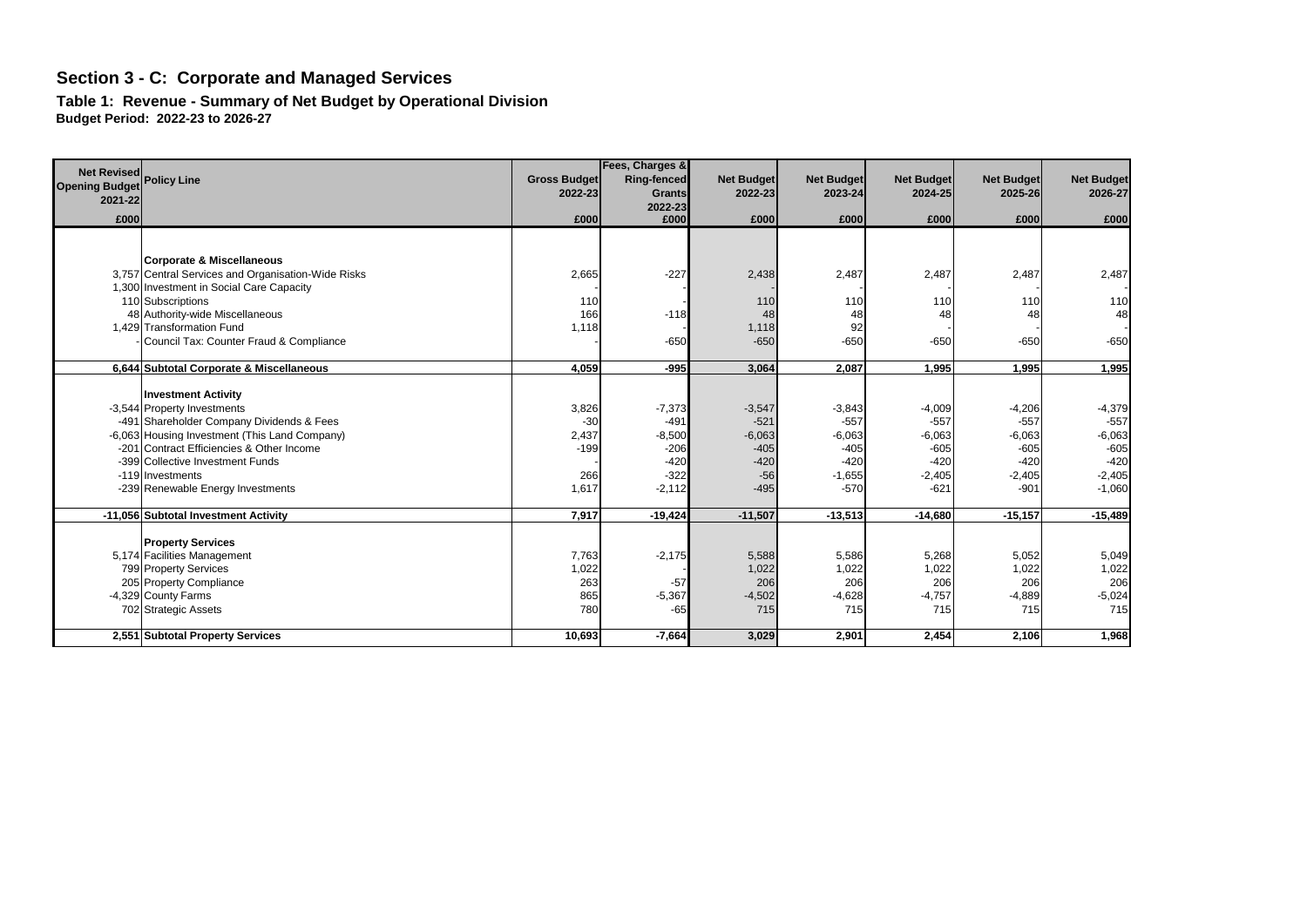**Table 1: Revenue - Summary of Net Budget by Operational Division Budget Period: 2022-23 to 2026-27**

| <b>Net Revised</b>               | <b>Policy Line</b>                                 | <b>Gross Budget</b> | Fees, Charges &<br>Ring-fenced | <b>Net Budget</b> | <b>Net Budget</b> | <b>Net Budget</b> | <b>Net Budget</b> | <b>Net Budget</b> |
|----------------------------------|----------------------------------------------------|---------------------|--------------------------------|-------------------|-------------------|-------------------|-------------------|-------------------|
| <b>Opening Budget</b><br>2021-22 |                                                    | 2022-23             | <b>Grants</b>                  | 2022-23           | 2023-24           | 2024-25           | 2025-26           | 2026-27           |
|                                  |                                                    |                     | 2022-23                        |                   |                   |                   |                   |                   |
| £000                             |                                                    | £000                | £000                           | £000              | £000              | £000              | £000              | £000              |
|                                  |                                                    |                     |                                |                   |                   |                   |                   |                   |
|                                  | <b>Corporate &amp; Miscellaneous</b>               |                     |                                |                   |                   |                   |                   |                   |
|                                  | 3,757 Central Services and Organisation-Wide Risks | 2,665               | $-227$                         | 2,438             | 2,487             | 2,487             | 2,487             | 2,487             |
|                                  | 1,300 Investment in Social Care Capacity           |                     |                                |                   |                   |                   |                   |                   |
|                                  | 110 Subscriptions                                  | 110                 |                                | 110               | 110               | 110               | 110               | 110               |
|                                  | 48 Authority-wide Miscellaneous                    | 166                 | $-118$                         | 48                | 48                | 48                | 48                | 48                |
|                                  | 1.429 Transformation Fund                          | 1,118               |                                | 1,118             | 92                |                   |                   |                   |
|                                  | Council Tax: Counter Fraud & Compliance            |                     | $-650$                         | $-650$            | $-650$            | $-650$            | $-650$            | $-650$            |
|                                  |                                                    |                     |                                |                   |                   |                   |                   |                   |
|                                  | 6,644 Subtotal Corporate & Miscellaneous           | 4,059               | $-995$                         | 3,064             | 2,087             | 1,995             | 1,995             | 1,995             |
|                                  | <b>Investment Activity</b>                         |                     |                                |                   |                   |                   |                   |                   |
|                                  | -3,544 Property Investments                        | 3,826               | $-7,373$                       | $-3,547$          | $-3,843$          | $-4,009$          | $-4,206$          | $-4,379$          |
|                                  | -491 Shareholder Company Dividends & Fees          | $-30$               | $-491$                         | $-521$            | $-557$            | $-557$            | $-557$            | $-557$            |
|                                  | -6,063 Housing Investment (This Land Company)      | 2,437               | $-8,500$                       | $-6,063$          | $-6,063$          | $-6,063$          | $-6,063$          | $-6,063$          |
|                                  | -201 Contract Efficiencies & Other Income          | $-199$              | $-206$                         | $-405$            | $-405$            | $-605$            | $-605$            | $-605$            |
|                                  | -399 Collective Investment Funds                   |                     | $-420$                         | $-420$            | $-420$            | $-420$            | $-420$            | $-420$            |
|                                  | -119 Investments                                   | 266                 | $-322$                         | $-56$             | $-1,655$          | $-2,405$          | $-2,405$          | $-2,405$          |
|                                  | -239 Renewable Energy Investments                  | 1,617               | $-2,112$                       | $-495$            | $-570$            | $-621$            | $-901$            | $-1,060$          |
|                                  |                                                    |                     |                                |                   |                   |                   |                   |                   |
|                                  | -11,056 Subtotal Investment Activity               | 7,917               | $-19,424$                      | $-11,507$         | $-13,513$         | $-14,680$         | $-15, 157$        | $-15,489$         |
|                                  |                                                    |                     |                                |                   |                   |                   |                   |                   |
|                                  | <b>Property Services</b>                           |                     |                                |                   |                   |                   |                   |                   |
|                                  | 5,174 Facilities Management                        | 7,763               | $-2,175$                       | 5,588             | 5,586             | 5,268             | 5,052             | 5,049             |
|                                  | 799 Property Services                              | 1,022<br>263        |                                | 1,022<br>206      | 1,022<br>206      | 1,022<br>206      | 1,022<br>206      | 1,022<br>206      |
|                                  | 205 Property Compliance                            |                     | $-57$                          |                   |                   |                   |                   |                   |
|                                  | -4,329 County Farms<br>702 Strategic Assets        | 865<br>780          | $-5,367$<br>$-65$              | $-4,502$<br>715   | $-4,628$<br>715   | $-4,757$<br>715   | $-4,889$<br>715   | $-5,024$<br>715   |
|                                  |                                                    |                     |                                |                   |                   |                   |                   |                   |
|                                  | 2,551 Subtotal Property Services                   | 10,693              | $-7,664$                       | 3,029             | 2,901             | 2,454             | 2,106             | 1,968             |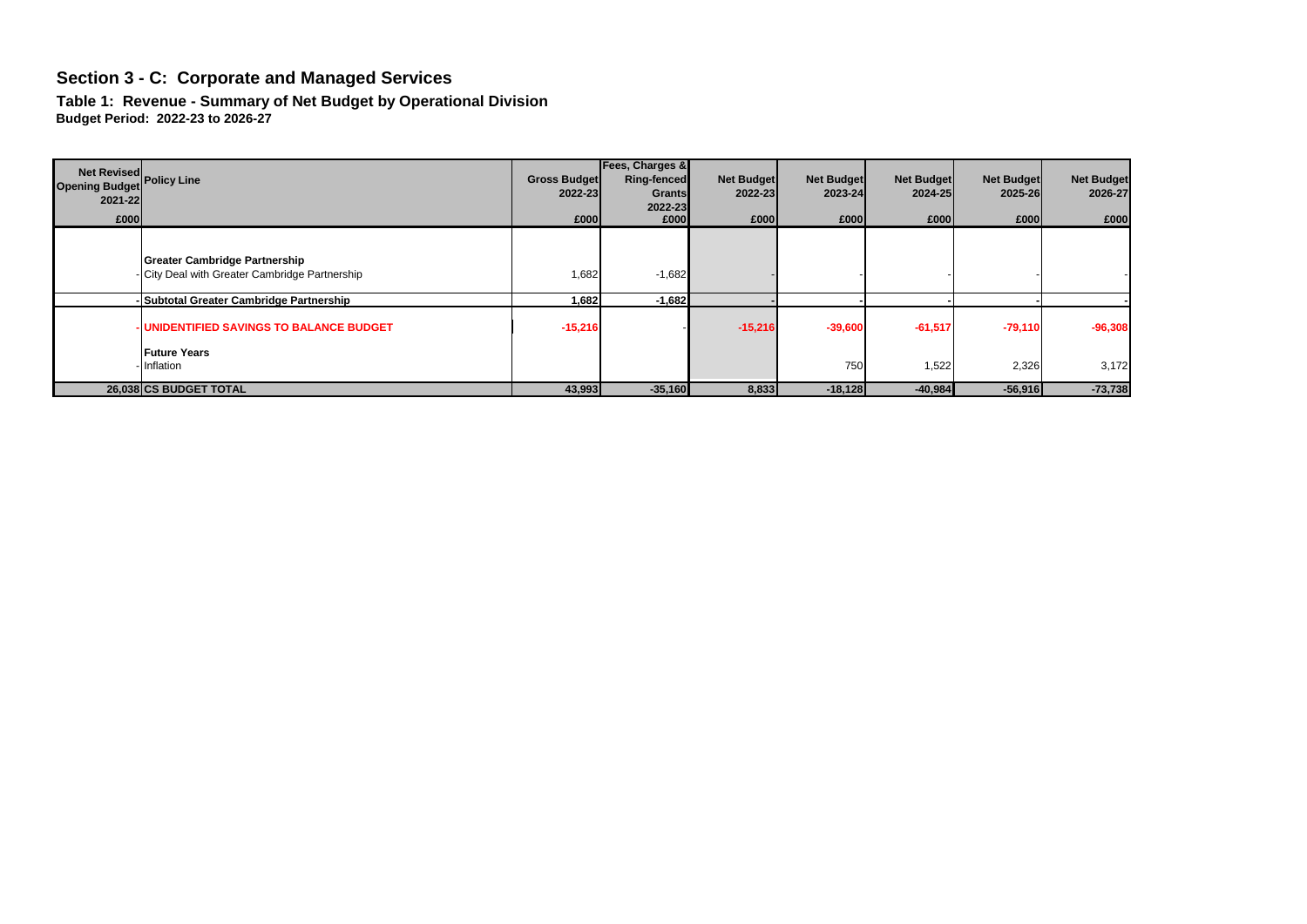**Table 1: Revenue - Summary of Net Budget by Operational Division Budget Period: 2022-23 to 2026-27**

| Net Revised<br>Opening Budget Policy Line<br>2021-22<br>£000 |                                                                                        | <b>Gross Budget</b><br>2022-23<br>£000 | Fees, Charges &<br>Ring-fenced<br>Grants<br>2022-23<br>£000 | <b>Net Budget</b><br>2022-23<br>£000 | <b>Net Budget</b><br>2023-24<br>£000 | <b>Net Budget</b><br>2024-25<br>£000 | <b>Net Budget</b><br>2025-26<br>£000 | <b>Net Budget</b><br>2026-27<br>£000 |
|--------------------------------------------------------------|----------------------------------------------------------------------------------------|----------------------------------------|-------------------------------------------------------------|--------------------------------------|--------------------------------------|--------------------------------------|--------------------------------------|--------------------------------------|
|                                                              | <b>Greater Cambridge Partnership</b><br>- City Deal with Greater Cambridge Partnership | 1,682                                  | $-1,682$                                                    |                                      |                                      |                                      |                                      |                                      |
|                                                              | - Subtotal Greater Cambridge Partnership                                               | 1,682                                  | $-1,682$                                                    |                                      |                                      |                                      |                                      |                                      |
|                                                              | <b>UNIDENTIFIED SAVINGS TO BALANCE BUDGET</b><br><b>Future Years</b>                   | $-15,216$                              |                                                             | $-15,216$                            | $-39,600$                            | $-61,517$                            | $-79,110$                            | $-96,308$                            |
|                                                              | - Inflation                                                                            |                                        |                                                             |                                      | 750                                  | 1,522                                | 2,326                                | 3,172                                |
|                                                              | 26,038 CS BUDGET TOTAL                                                                 | 43,993                                 | $-35,160$                                                   | 8,833                                | $-18,128$                            | $-40,984$                            | $-56,916$                            | $-73,738$                            |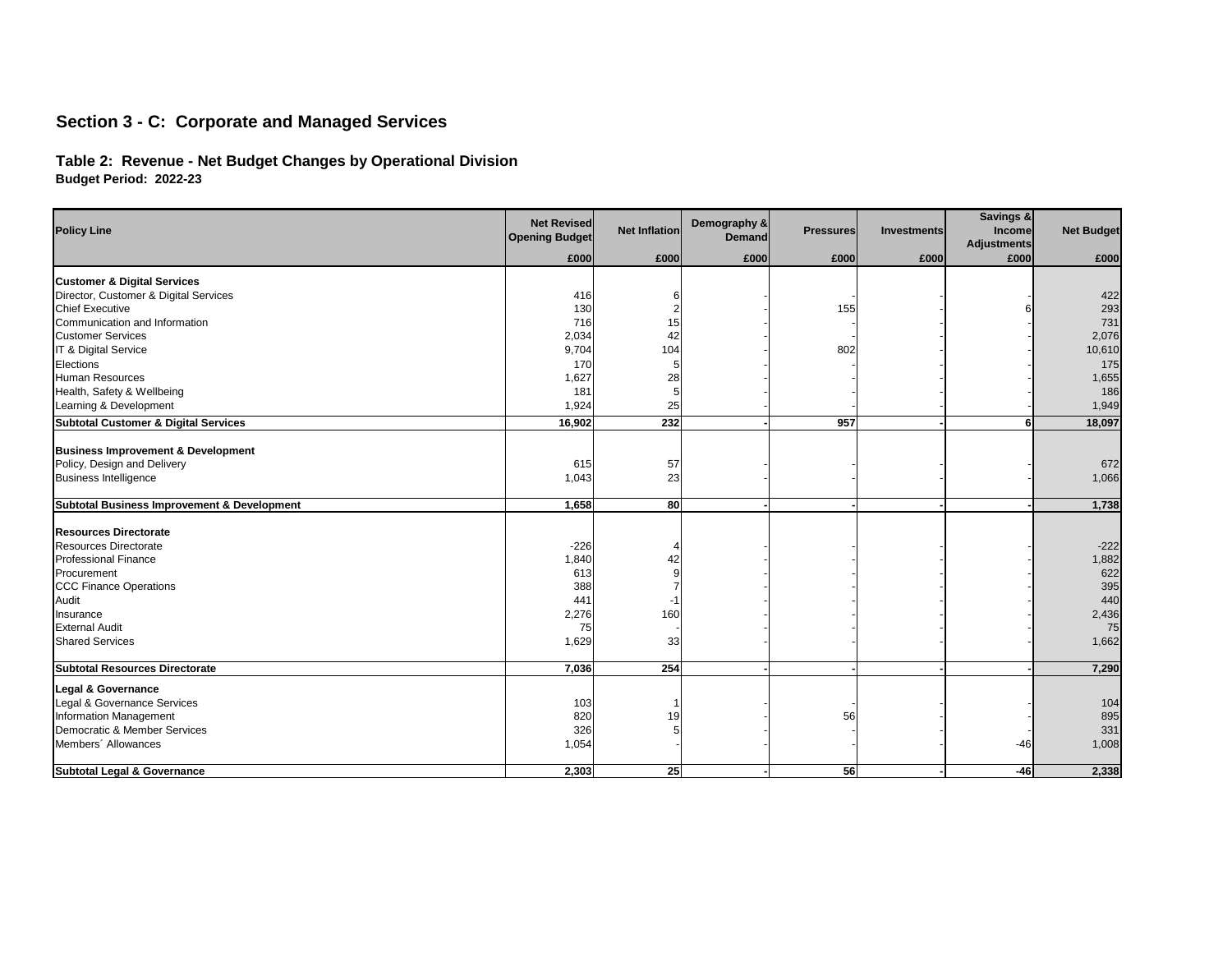## **Table 2: Revenue - Net Budget Changes by Operational Division Budget Period: 2022-23**

| <b>Policy Line</b>                                     | <b>Net Revised</b><br><b>Opening Budget</b> | <b>Net Inflation</b> | Demography &<br><b>Demand</b> | <b>Pressures</b> | <b>Investments</b> | Savings &<br>Income<br><b>Adjustments</b> | <b>Net Budget</b> |
|--------------------------------------------------------|---------------------------------------------|----------------------|-------------------------------|------------------|--------------------|-------------------------------------------|-------------------|
|                                                        | £000                                        | £000                 | £000                          | £000             | £000               | £000                                      | £000              |
| <b>Customer &amp; Digital Services</b>                 |                                             |                      |                               |                  |                    |                                           |                   |
| Director, Customer & Digital Services                  | 416                                         |                      |                               |                  |                    |                                           | 422               |
| <b>Chief Executive</b>                                 | 130                                         |                      |                               | 155              |                    |                                           | 293               |
| Communication and Information                          | 716                                         | 15                   |                               |                  |                    |                                           | 731               |
| <b>Customer Services</b>                               | 2,034                                       | 42                   |                               |                  |                    |                                           | 2,076             |
| IT & Digital Service                                   | 9,704                                       | 104                  |                               | 802              |                    |                                           | 10,610            |
| Elections                                              | 170                                         |                      |                               |                  |                    |                                           | 175               |
| <b>Human Resources</b>                                 | 1,627                                       | 28                   |                               |                  |                    |                                           | 1,655             |
| Health, Safety & Wellbeing                             | 181                                         |                      |                               |                  |                    |                                           | 186               |
| Learning & Development                                 | 1,924                                       | 25                   |                               |                  |                    |                                           | 1,949             |
| <b>Subtotal Customer &amp; Digital Services</b>        | 16,902                                      | 232                  |                               | 957              |                    |                                           | 18,097            |
|                                                        |                                             |                      |                               |                  |                    |                                           |                   |
| <b>Business Improvement &amp; Development</b>          |                                             |                      |                               |                  |                    |                                           |                   |
| Policy, Design and Delivery                            | 615                                         | 57                   |                               |                  |                    |                                           | 672               |
| <b>Business Intelligence</b>                           | 1,043                                       | 23                   |                               |                  |                    |                                           | 1,066             |
| <b>Subtotal Business Improvement &amp; Development</b> | 1,658                                       | 80                   |                               |                  |                    |                                           | 1,738             |
| <b>Resources Directorate</b>                           |                                             |                      |                               |                  |                    |                                           |                   |
| <b>Resources Directorate</b>                           | $-226$                                      |                      |                               |                  |                    |                                           | $-222$            |
| <b>Professional Finance</b>                            | 1,840                                       | 42                   |                               |                  |                    |                                           | 1,882             |
| Procurement                                            | 613                                         |                      |                               |                  |                    |                                           | 622               |
| <b>CCC Finance Operations</b>                          | 388                                         |                      |                               |                  |                    |                                           | 395               |
| <b>Audit</b>                                           | 441                                         |                      |                               |                  |                    |                                           | 440               |
| Insurance                                              | 2,276                                       | 160                  |                               |                  |                    |                                           | 2,436             |
| <b>External Audit</b>                                  | 75                                          |                      |                               |                  |                    |                                           | 75                |
| <b>Shared Services</b>                                 | 1,629                                       | 33                   |                               |                  |                    |                                           | 1,662             |
| <b>Subtotal Resources Directorate</b>                  | 7,036                                       | 254                  |                               |                  |                    |                                           | 7,290             |
| Legal & Governance                                     |                                             |                      |                               |                  |                    |                                           |                   |
| Legal & Governance Services                            | 103                                         |                      |                               |                  |                    |                                           | 104               |
| Information Management                                 | 820                                         | 19                   |                               | 56               |                    |                                           | 895               |
| Democratic & Member Services                           | 326                                         |                      |                               |                  |                    |                                           | 331               |
| Members' Allowances                                    | 1,054                                       |                      |                               |                  |                    | $-46$                                     | 1,008             |
| <b>Subtotal Legal &amp; Governance</b>                 | 2,303                                       | 25                   |                               | 56               |                    | $-46$                                     | 2,338             |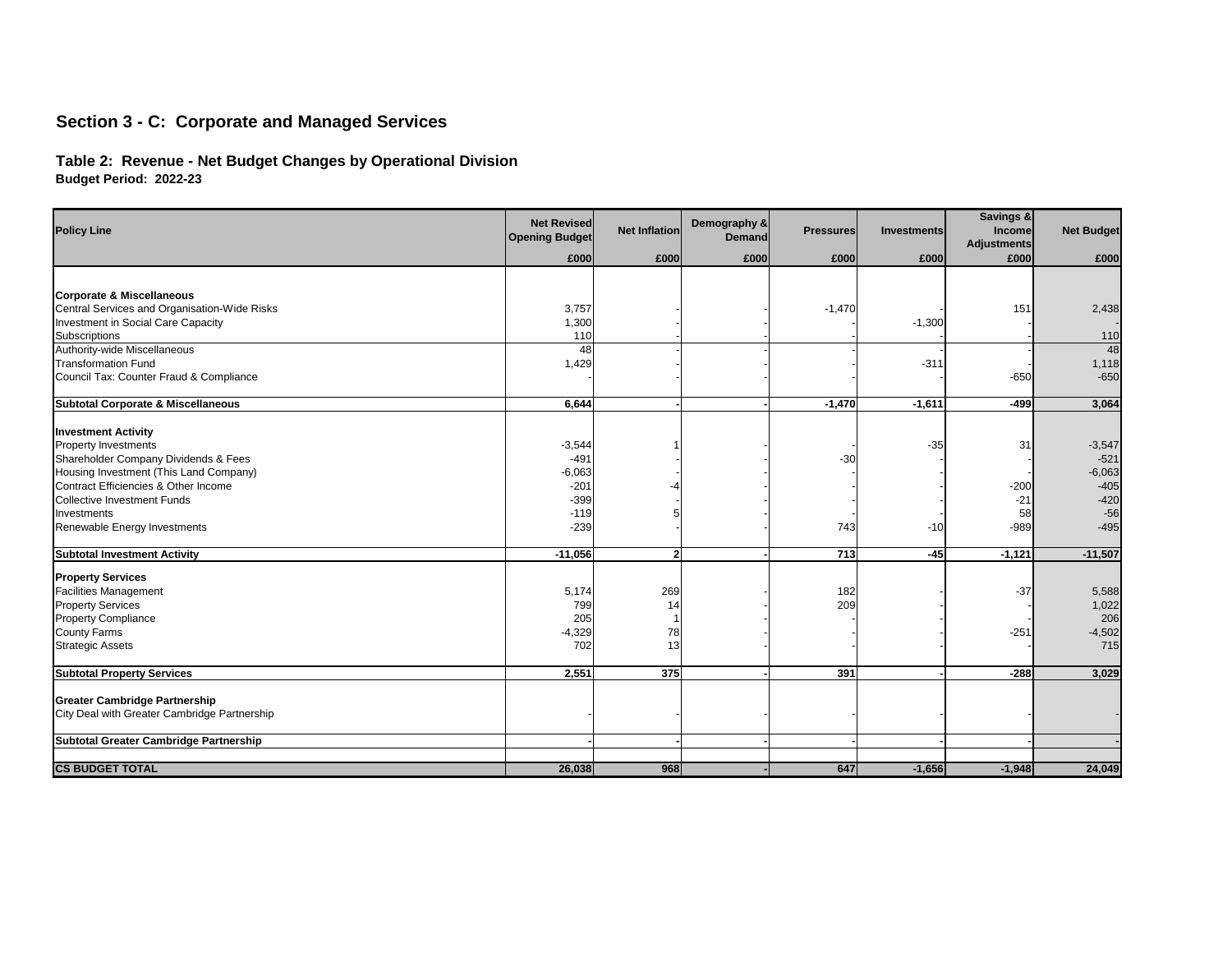## **Table 2: Revenue - Net Budget Changes by Operational Division Budget Period: 2022-23**

| <b>Policy Line</b>                                   | <b>Net Revised</b><br><b>Opening Budget</b> | <b>Net Inflation</b> | Demography &<br><b>Demand</b> | <b>Pressures</b> | <b>Investments</b> | Savings &<br><b>Income</b><br><b>Adjustments</b> | <b>Net Budget</b> |
|------------------------------------------------------|---------------------------------------------|----------------------|-------------------------------|------------------|--------------------|--------------------------------------------------|-------------------|
|                                                      | £000                                        | £000                 | £000                          | £000             | £000               | £000                                             | £000              |
|                                                      |                                             |                      |                               |                  |                    |                                                  |                   |
| <b>Corporate &amp; Miscellaneous</b>                 |                                             |                      |                               |                  |                    |                                                  |                   |
| Central Services and Organisation-Wide Risks         | 3,757                                       |                      |                               | $-1,470$         |                    | 151                                              | 2,438             |
| Investment in Social Care Capacity                   | 1,300<br>110                                |                      |                               |                  | $-1,300$           |                                                  | 110               |
| <b>Subscriptions</b><br>Authority-wide Miscellaneous | 48                                          |                      |                               |                  |                    |                                                  | 48                |
| <b>Transformation Fund</b>                           | 1,429                                       |                      |                               |                  | $-311$             |                                                  | 1,118             |
| Council Tax: Counter Fraud & Compliance              |                                             |                      |                               |                  |                    | $-650$                                           | $-650$            |
|                                                      |                                             |                      |                               |                  |                    |                                                  |                   |
| <b>Subtotal Corporate &amp; Miscellaneous</b>        | 6,644                                       |                      |                               | $-1,470$         | $-1,611$           | $-499$                                           | 3,064             |
|                                                      |                                             |                      |                               |                  |                    |                                                  |                   |
| <b>Investment Activity</b>                           |                                             |                      |                               |                  |                    |                                                  |                   |
| <b>Property Investments</b>                          | $-3,544$                                    |                      |                               |                  | $-35$              | 31                                               | $-3,547$          |
| Shareholder Company Dividends & Fees                 | $-491$                                      |                      |                               | $-30$            |                    |                                                  | $-521$            |
| Housing Investment (This Land Company)               | $-6,063$                                    |                      |                               |                  |                    |                                                  | $-6,063$          |
| Contract Efficiencies & Other Income                 | $-201$                                      |                      |                               |                  |                    | $-200$                                           | $-405$            |
| <b>Collective Investment Funds</b>                   | $-399$                                      |                      |                               |                  |                    | $-21$                                            | $-420$            |
| Investments                                          | $-119$<br>$-239$                            |                      |                               |                  |                    | 58                                               | $-56$             |
| Renewable Energy Investments                         |                                             |                      |                               | 743              | $-10$              | $-989$                                           | $-495$            |
| <b>Subtotal Investment Activity</b>                  | $-11,056$                                   | $\overline{2}$       |                               | 713              | $-45$              | $-1,121$                                         | $-11,507$         |
| <b>Property Services</b>                             |                                             |                      |                               |                  |                    |                                                  |                   |
| <b>Facilities Management</b>                         | 5,174                                       | 269                  |                               | 182              |                    | $-37$                                            | 5,588             |
| <b>Property Services</b>                             | 799                                         | 14                   |                               | 209              |                    |                                                  | 1,022             |
| <b>Property Compliance</b>                           | 205                                         |                      |                               |                  |                    |                                                  | 206               |
| <b>County Farms</b>                                  | $-4,329$                                    | 78                   |                               |                  |                    | $-251$                                           | $-4,502$          |
| <b>Strategic Assets</b>                              | 702                                         | 13                   |                               |                  |                    |                                                  | 715               |
| <b>Subtotal Property Services</b>                    | 2,551                                       | 375                  |                               | 391              |                    | $-288$                                           | 3,029             |
|                                                      |                                             |                      |                               |                  |                    |                                                  |                   |
| <b>Greater Cambridge Partnership</b>                 |                                             |                      |                               |                  |                    |                                                  |                   |
| City Deal with Greater Cambridge Partnership         |                                             |                      |                               |                  |                    |                                                  |                   |
| <b>Subtotal Greater Cambridge Partnership</b>        |                                             |                      |                               |                  |                    |                                                  |                   |
|                                                      |                                             |                      |                               |                  |                    |                                                  |                   |
| <b>CS BUDGET TOTAL</b>                               | 26,038                                      | 968                  |                               | 647              | $-1,656$           | $-1,948$                                         | 24,049            |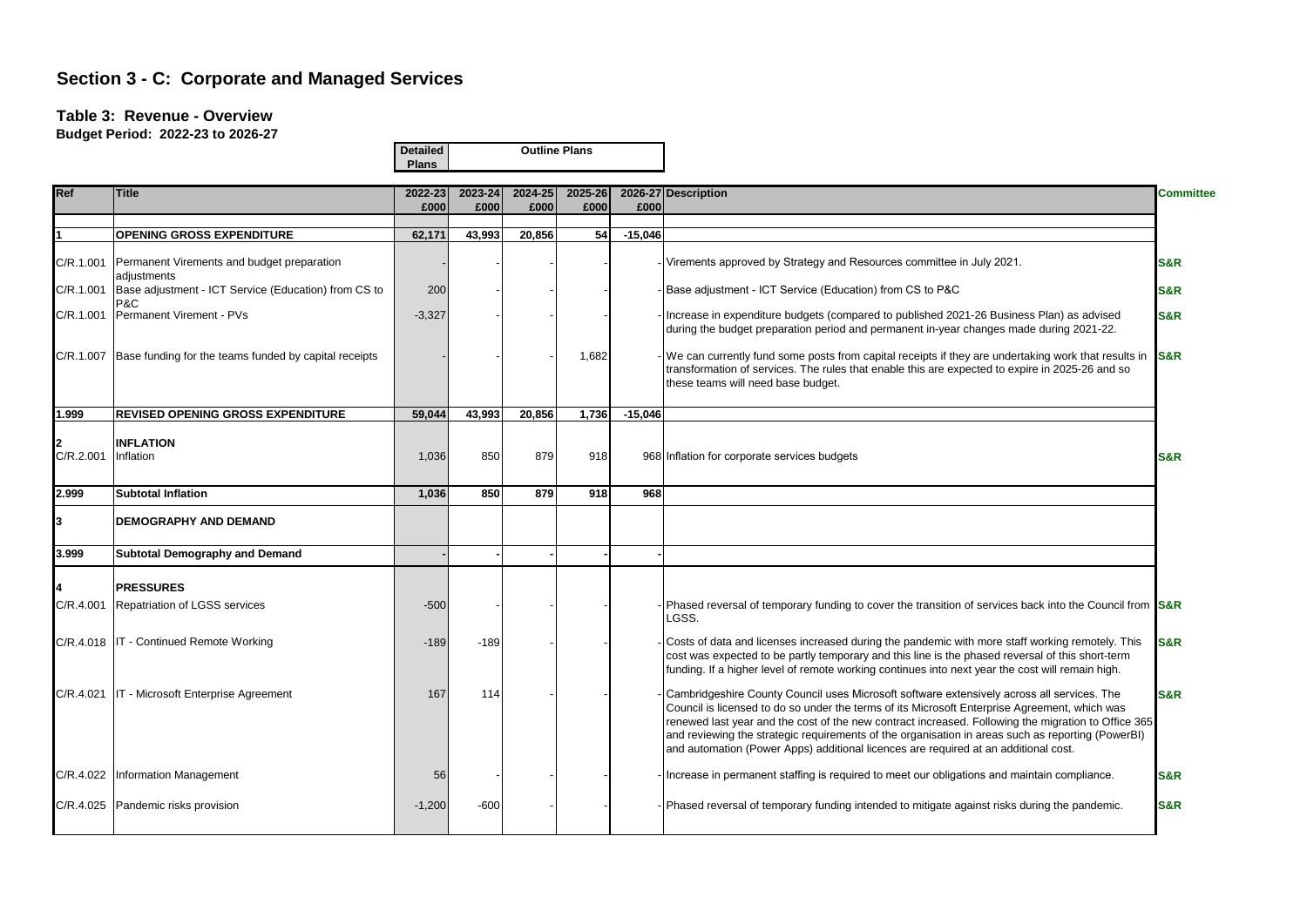#### **Table 3: Revenue - Overview**

**Budget Period: 2022-23 to 2026-27**

|            |                                                           | <b>Detailed</b><br><b>Plans</b> |                 |                 | <b>Outline Plans</b> |           |                                                                                                                                                                                                                                                                                                                                                                                                                                                                                                |                  |
|------------|-----------------------------------------------------------|---------------------------------|-----------------|-----------------|----------------------|-----------|------------------------------------------------------------------------------------------------------------------------------------------------------------------------------------------------------------------------------------------------------------------------------------------------------------------------------------------------------------------------------------------------------------------------------------------------------------------------------------------------|------------------|
| <b>Ref</b> | <b>Title</b>                                              | 2022-23<br>£000                 | 2023-24<br>£000 | 2024-25<br>£000 | 2025-26<br>£000      | £000      | 2026-27 Description                                                                                                                                                                                                                                                                                                                                                                                                                                                                            | <b>Committee</b> |
|            |                                                           |                                 |                 |                 |                      |           |                                                                                                                                                                                                                                                                                                                                                                                                                                                                                                |                  |
|            | <b>OPENING GROSS EXPENDITURE</b>                          | 62,171                          | 43,993          | 20,856          | 54                   | $-15,046$ |                                                                                                                                                                                                                                                                                                                                                                                                                                                                                                |                  |
| C/R.1.001  | Permanent Virements and budget preparation<br>adjustments |                                 |                 |                 |                      |           | Virements approved by Strategy and Resources committee in July 2021.                                                                                                                                                                                                                                                                                                                                                                                                                           | <b>S&amp;R</b>   |
| C/R.1.001  | Base adjustment - ICT Service (Education) from CS to      | 200                             |                 |                 |                      |           | Base adjustment - ICT Service (Education) from CS to P&C                                                                                                                                                                                                                                                                                                                                                                                                                                       | <b>S&amp;R</b>   |
| C/R.1.001  | P&C<br>Permanent Virement - PVs                           | $-3,327$                        |                 |                 |                      |           | Increase in expenditure budgets (compared to published 2021-26 Business Plan) as advised<br>during the budget preparation period and permanent in-year changes made during 2021-22.                                                                                                                                                                                                                                                                                                            | <b>S&amp;R</b>   |
| C/R.1.007  | Base funding for the teams funded by capital receipts     |                                 |                 |                 | 1,682                |           | We can currently fund some posts from capital receipts if they are undertaking work that results in S&R<br>transformation of services. The rules that enable this are expected to expire in 2025-26 and so<br>these teams will need base budget.                                                                                                                                                                                                                                               |                  |
| 1.999      | <b>REVISED OPENING GROSS EXPENDITURE</b>                  | 59,044                          | 43,993          | 20,856          | 1,736                | $-15,046$ |                                                                                                                                                                                                                                                                                                                                                                                                                                                                                                |                  |
| C/R.2.001  | <b>INFLATION</b><br>Inflation                             | 1,036                           | 850             | 879             | 918                  |           | 968 Inflation for corporate services budgets                                                                                                                                                                                                                                                                                                                                                                                                                                                   | S&R              |
| 2.999      | <b>Subtotal Inflation</b>                                 | 1,036                           | 850             | 879             | 918                  | 968       |                                                                                                                                                                                                                                                                                                                                                                                                                                                                                                |                  |
| 3          | <b>DEMOGRAPHY AND DEMAND</b>                              |                                 |                 |                 |                      |           |                                                                                                                                                                                                                                                                                                                                                                                                                                                                                                |                  |
| 3.999      | <b>Subtotal Demography and Demand</b>                     |                                 |                 |                 |                      |           |                                                                                                                                                                                                                                                                                                                                                                                                                                                                                                |                  |
|            | <b>PRESSURES</b>                                          |                                 |                 |                 |                      |           |                                                                                                                                                                                                                                                                                                                                                                                                                                                                                                |                  |
| C/R.4.001  | Repatriation of LGSS services                             | $-500$                          |                 |                 |                      |           | Phased reversal of temporary funding to cover the transition of services back into the Council from S&R<br>LGSS.                                                                                                                                                                                                                                                                                                                                                                               |                  |
|            | C/R.4.018   IT - Continued Remote Working                 | $-189$                          | $-189$          |                 |                      |           | Costs of data and licenses increased during the pandemic with more staff working remotely. This<br>cost was expected to be partly temporary and this line is the phased reversal of this short-term<br>funding. If a higher level of remote working continues into next year the cost will remain high.                                                                                                                                                                                        | <b>S&amp;R</b>   |
| C/R.4.021  | IT - Microsoft Enterprise Agreement                       | 167                             | 114             |                 |                      |           | Cambridgeshire County Council uses Microsoft software extensively across all services. The<br>Council is licensed to do so under the terms of its Microsoft Enterprise Agreement, which was<br>renewed last year and the cost of the new contract increased. Following the migration to Office 365<br>and reviewing the strategic requirements of the organisation in areas such as reporting (PowerBI)<br>and automation (Power Apps) additional licences are required at an additional cost. | <b>S&amp;R</b>   |
|            | C/R.4.022   Information Management                        | 56                              |                 |                 |                      |           | Increase in permanent staffing is required to meet our obligations and maintain compliance.                                                                                                                                                                                                                                                                                                                                                                                                    | S&R              |
|            | C/R.4.025 Pandemic risks provision                        | $-1,200$                        | $-600$          |                 |                      |           | Phased reversal of temporary funding intended to mitigate against risks during the pandemic.                                                                                                                                                                                                                                                                                                                                                                                                   | <b>S&amp;R</b>   |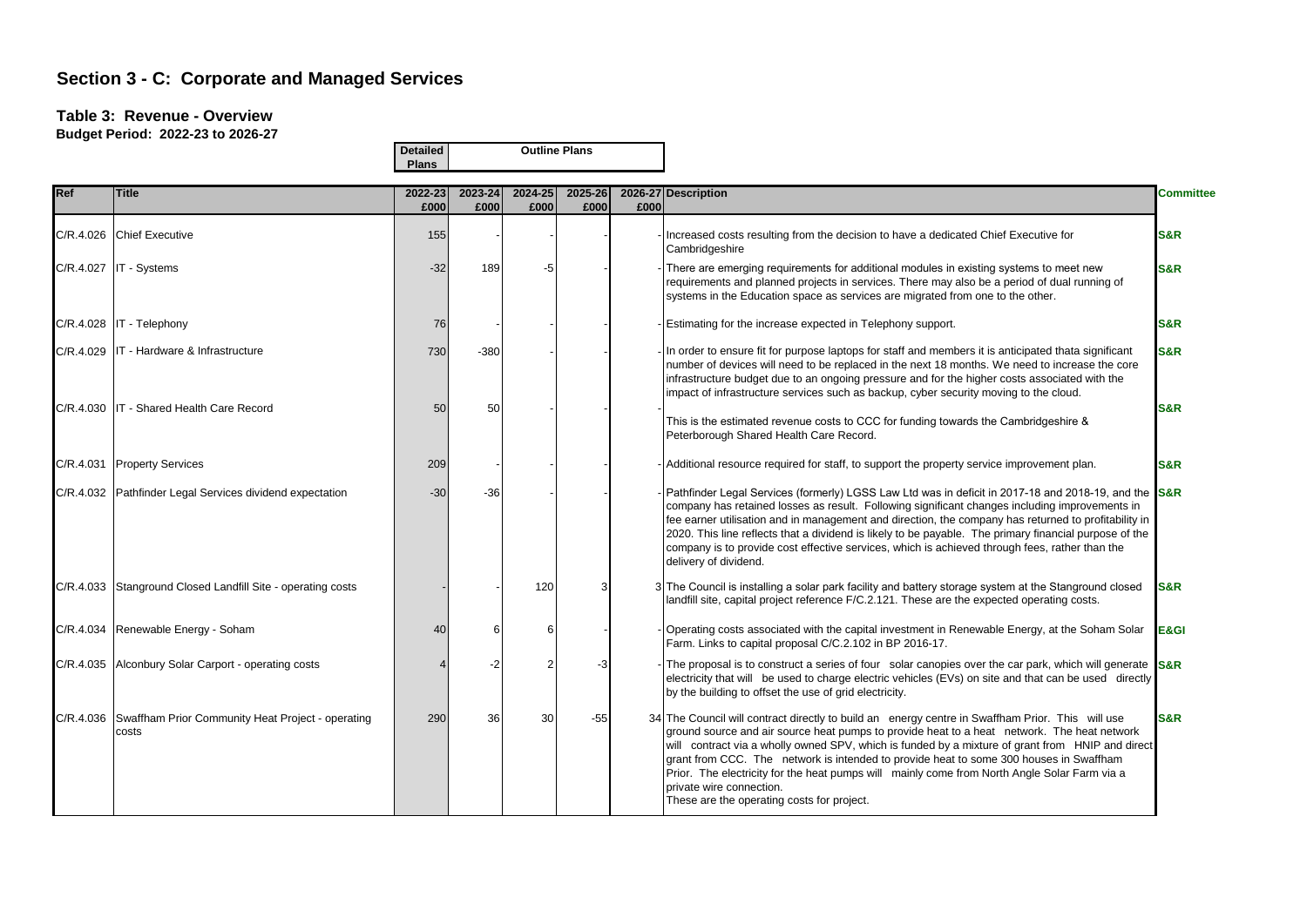### **Table 3: Revenue - Overview**

|     |                                                                      | <b>Detailed</b><br><b>Plans</b> |                 |                 | <b>Outline Plans</b> |      |                                                                                                                                                                                                                                                                                                                                                                                                                                                                                                                                                                         |                  |
|-----|----------------------------------------------------------------------|---------------------------------|-----------------|-----------------|----------------------|------|-------------------------------------------------------------------------------------------------------------------------------------------------------------------------------------------------------------------------------------------------------------------------------------------------------------------------------------------------------------------------------------------------------------------------------------------------------------------------------------------------------------------------------------------------------------------------|------------------|
| Ref | <b>Title</b>                                                         | 2022-23<br>£000                 | 2023-24<br>£000 | 2024-25<br>£000 | 2025-26<br>£000      | £000 | 2026-27 Description                                                                                                                                                                                                                                                                                                                                                                                                                                                                                                                                                     | <b>Committee</b> |
|     | C/R.4.026 Chief Executive                                            | 155                             |                 |                 |                      |      | Increased costs resulting from the decision to have a dedicated Chief Executive for<br>Cambridgeshire                                                                                                                                                                                                                                                                                                                                                                                                                                                                   | <b>S&amp;R</b>   |
|     | $C/R.4.027$ IT - Systems                                             | $-32$                           | 189             | -5              |                      |      | There are emerging requirements for additional modules in existing systems to meet new<br>requirements and planned projects in services. There may also be a period of dual running of<br>systems in the Education space as services are migrated from one to the other.                                                                                                                                                                                                                                                                                                | <b>S&amp;R</b>   |
|     | C/R.4.028   IT - Telephony                                           | 76                              |                 |                 |                      |      | Estimating for the increase expected in Telephony support.                                                                                                                                                                                                                                                                                                                                                                                                                                                                                                              | <b>S&amp;R</b>   |
|     | C/R.4.029 IT - Hardware & Infrastructure                             | 730                             | $-380$          |                 |                      |      | In order to ensure fit for purpose laptops for staff and members it is anticipated thata significant<br>number of devices will need to be replaced in the next 18 months. We need to increase the core<br>infrastructure budget due to an ongoing pressure and for the higher costs associated with the<br>impact of infrastructure services such as backup, cyber security moving to the cloud.                                                                                                                                                                        | <b>S&amp;R</b>   |
|     | C/R.4.030   IT - Shared Health Care Record                           | 50                              | 50              |                 |                      |      | This is the estimated revenue costs to CCC for funding towards the Cambridgeshire &<br>Peterborough Shared Health Care Record.                                                                                                                                                                                                                                                                                                                                                                                                                                          | <b>S&amp;R</b>   |
|     | C/R.4.031 Property Services                                          | 209                             |                 |                 |                      |      | - Additional resource required for staff, to support the property service improvement plan.                                                                                                                                                                                                                                                                                                                                                                                                                                                                             | <b>S&amp;R</b>   |
|     | C/R.4.032 Pathfinder Legal Services dividend expectation             | $-30$                           | $-36$           |                 |                      |      | Pathfinder Legal Services (formerly) LGSS Law Ltd was in deficit in 2017-18 and 2018-19, and the S&R<br>company has retained losses as result. Following significant changes including improvements in<br>fee earner utilisation and in management and direction, the company has returned to profitability in<br>2020. This line reflects that a dividend is likely to be payable. The primary financial purpose of the<br>company is to provide cost effective services, which is achieved through fees, rather than the<br>delivery of dividend.                     |                  |
|     | C/R.4.033 Stanground Closed Landfill Site - operating costs          |                                 |                 | 120             | 3                    |      | 3 The Council is installing a solar park facility and battery storage system at the Stanground closed<br>landfill site, capital project reference F/C.2.121. These are the expected operating costs.                                                                                                                                                                                                                                                                                                                                                                    | S&R              |
|     | C/R.4.034 Renewable Energy - Soham                                   | 40                              | 6               | 6               |                      |      | Operating costs associated with the capital investment in Renewable Energy, at the Soham Solar<br>Farm. Links to capital proposal C/C.2.102 in BP 2016-17.                                                                                                                                                                                                                                                                                                                                                                                                              | E&GI             |
|     | C/R.4.035 Alconbury Solar Carport - operating costs                  |                                 | -2              | 2               | -3                   |      | The proposal is to construct a series of four solar canopies over the car park, which will generate S&R<br>electricity that will be used to charge electric vehicles (EVs) on site and that can be used directly<br>by the building to offset the use of grid electricity.                                                                                                                                                                                                                                                                                              |                  |
|     | C/R.4.036 Swaffham Prior Community Heat Project - operating<br>costs | 290                             | 36              | 30              | $-55$                |      | 34 The Council will contract directly to build an energy centre in Swaffham Prior. This will use<br>ground source and air source heat pumps to provide heat to a heat network. The heat network<br>will contract via a wholly owned SPV, which is funded by a mixture of grant from HNIP and direct<br>grant from CCC. The network is intended to provide heat to some 300 houses in Swaffham<br>Prior. The electricity for the heat pumps will mainly come from North Angle Solar Farm via a<br>private wire connection.<br>These are the operating costs for project. | <b>S&amp;R</b>   |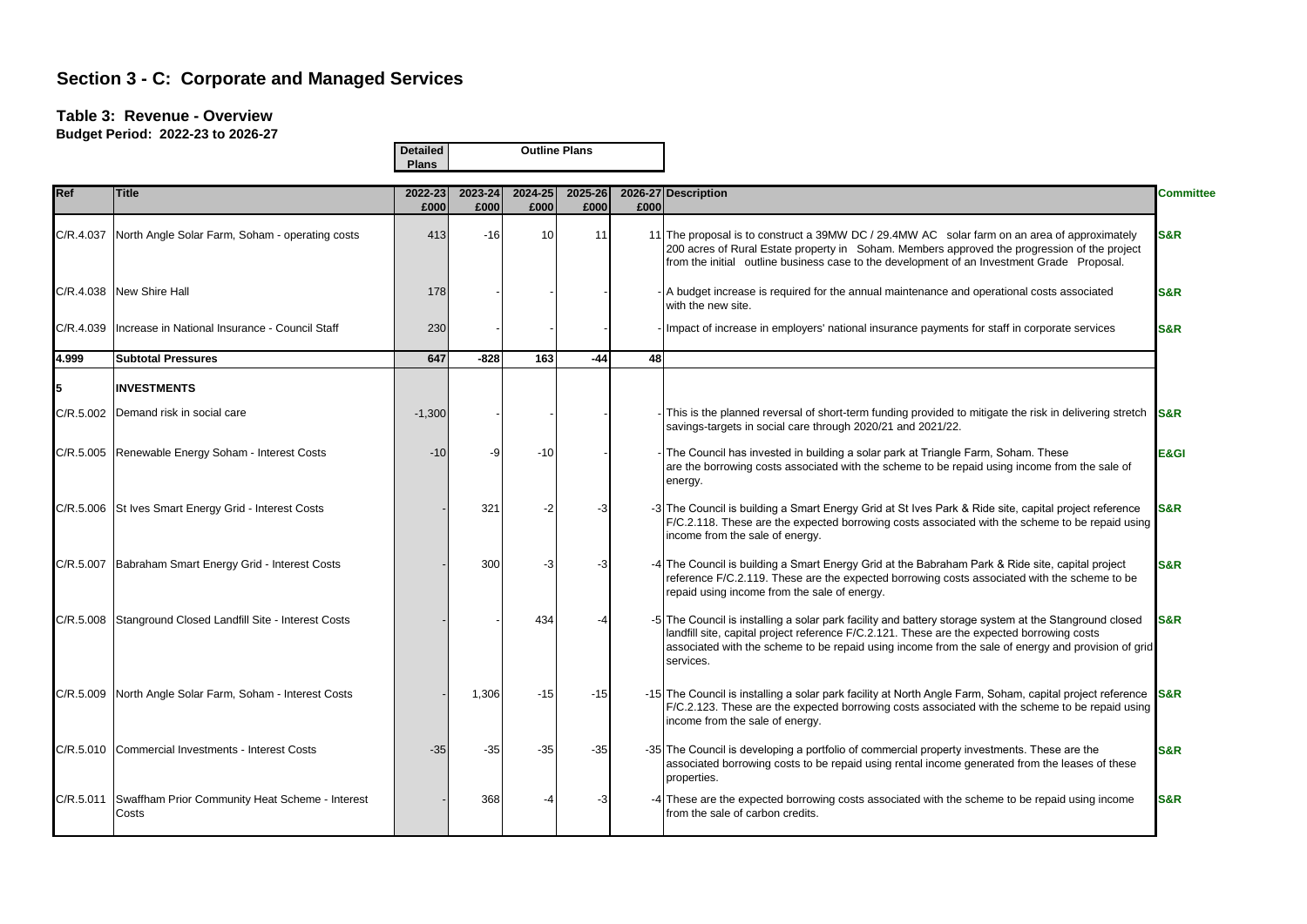### **Table 3: Revenue - Overview**

|            |                                                           | <b>Detailed</b><br><b>Plans</b> |                 | <b>Outline Plans</b> |                 |      |                                                                                                                                                                                                                                                                                                                         |                  |
|------------|-----------------------------------------------------------|---------------------------------|-----------------|----------------------|-----------------|------|-------------------------------------------------------------------------------------------------------------------------------------------------------------------------------------------------------------------------------------------------------------------------------------------------------------------------|------------------|
| <b>Ref</b> | <b>Title</b>                                              | 2022-23<br>£000                 | 2023-24<br>£000 | 2024-25<br>£000      | 2025-26<br>£000 | £000 | 2026-27 Description                                                                                                                                                                                                                                                                                                     | <b>Committee</b> |
|            | C/R.4.037 North Angle Solar Farm, Soham - operating costs | 413                             | $-16$           | 10                   | 11              |      | 11 The proposal is to construct a 39MW DC / 29.4MW AC solar farm on an area of approximately<br>200 acres of Rural Estate property in Soham. Members approved the progression of the project<br>from the initial outline business case to the development of an Investment Grade Proposal.                              | <b>S&amp;R</b>   |
| C/R.4.038  | New Shire Hall                                            | 178                             |                 |                      |                 |      | - A budget increase is required for the annual maintenance and operational costs associated<br>with the new site.                                                                                                                                                                                                       | <b>S&amp;R</b>   |
| C/R.4.039  | Increase in National Insurance - Council Staff            | 230                             |                 |                      |                 |      | - Impact of increase in employers' national insurance payments for staff in corporate services                                                                                                                                                                                                                          | <b>S&amp;R</b>   |
| 4.999      | <b>Subtotal Pressures</b>                                 | 647                             | $-828$          | 163                  | $-44$           | 48   |                                                                                                                                                                                                                                                                                                                         |                  |
|            | <b>INVESTMENTS</b>                                        |                                 |                 |                      |                 |      |                                                                                                                                                                                                                                                                                                                         |                  |
| C/R.5.002  | Demand risk in social care                                | $-1,300$                        |                 |                      |                 |      | This is the planned reversal of short-term funding provided to mitigate the risk in delivering stretch <b>S&amp;R</b><br>savings-targets in social care through 2020/21 and 2021/22.                                                                                                                                    |                  |
|            | C/R.5.005 Renewable Energy Soham - Interest Costs         | $-10$                           | -9              | $-10$                |                 |      | - The Council has invested in building a solar park at Triangle Farm, Soham. These<br>are the borrowing costs associated with the scheme to be repaid using income from the sale of<br>energy.                                                                                                                          | E&GI             |
|            | C/R.5.006 St Ives Smart Energy Grid - Interest Costs      |                                 | 321             | -2                   | -3              |      | -3 The Council is building a Smart Energy Grid at St Ives Park & Ride site, capital project reference<br>F/C.2.118. These are the expected borrowing costs associated with the scheme to be repaid using<br>income from the sale of energy.                                                                             | S&R              |
|            | C/R.5.007 Babraham Smart Energy Grid - Interest Costs     |                                 | 300             | -3                   | -3              |      | -4 The Council is building a Smart Energy Grid at the Babraham Park & Ride site, capital project<br>reference F/C.2.119. These are the expected borrowing costs associated with the scheme to be<br>repaid using income from the sale of energy.                                                                        | <b>S&amp;R</b>   |
| C/R.5.008  | Stanground Closed Landfill Site - Interest Costs          |                                 |                 | 434                  |                 |      | -5 The Council is installing a solar park facility and battery storage system at the Stanground closed<br>landfill site, capital project reference F/C.2.121. These are the expected borrowing costs<br>associated with the scheme to be repaid using income from the sale of energy and provision of grid<br>services. | S&R              |
| C/R.5.009  | North Angle Solar Farm, Soham - Interest Costs            |                                 | 1,306           | -15                  | $-15$           |      | -15 The Council is installing a solar park facility at North Angle Farm, Soham, capital project reference S&R<br>F/C.2.123. These are the expected borrowing costs associated with the scheme to be repaid using<br>income from the sale of energy.                                                                     |                  |
|            | C/R.5.010 Commercial Investments - Interest Costs         | $-35$                           | $-35$           | $-35$                | $-35$           |      | -35 The Council is developing a portfolio of commercial property investments. These are the<br>associated borrowing costs to be repaid using rental income generated from the leases of these<br>properties.                                                                                                            | <b>S&amp;R</b>   |
| C/R.5.011  | Swaffham Prior Community Heat Scheme - Interest<br>Costs  |                                 | 368             | -4                   | -3              |      | -4 These are the expected borrowing costs associated with the scheme to be repaid using income<br>from the sale of carbon credits.                                                                                                                                                                                      | <b>S&amp;R</b>   |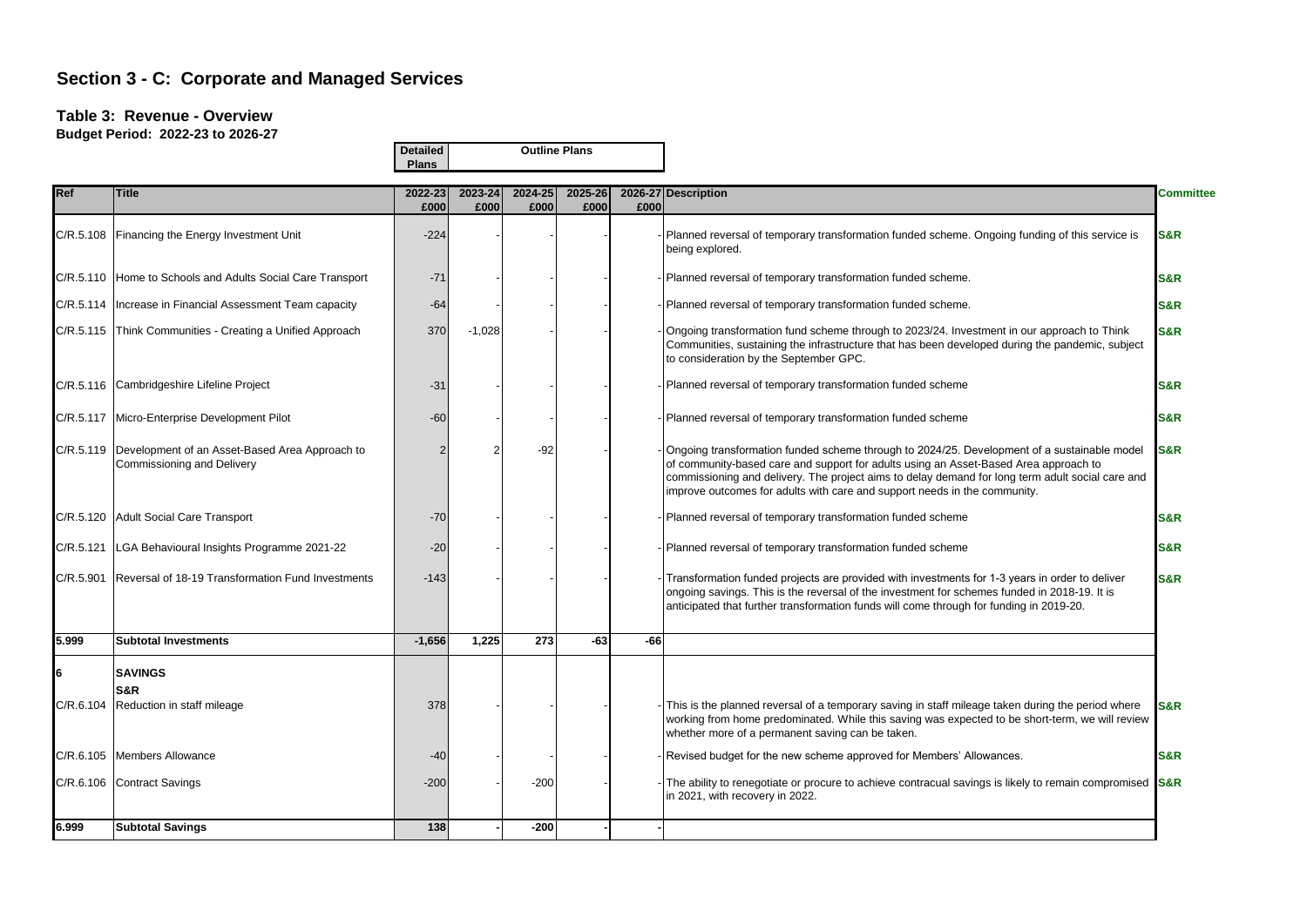#### **Table 3: Revenue - Overview**

**Budget Period: 2022-23 to 2026-27**

**Outline Plans**

**Detailed**

|           |                                                                                          | Plans           |                 |                 |                 |       |                                                                                                                                                                                                                                                                                                                                                                      |                  |
|-----------|------------------------------------------------------------------------------------------|-----------------|-----------------|-----------------|-----------------|-------|----------------------------------------------------------------------------------------------------------------------------------------------------------------------------------------------------------------------------------------------------------------------------------------------------------------------------------------------------------------------|------------------|
| Ref       | Title                                                                                    | 2022-23<br>£000 | 2023-24<br>£000 | 2024-25<br>£000 | 2025-26<br>£000 | £000  | 2026-27 Description                                                                                                                                                                                                                                                                                                                                                  | <b>Committee</b> |
|           | C/R.5.108 Financing the Energy Investment Unit                                           | $-224$          |                 |                 |                 |       | Planned reversal of temporary transformation funded scheme. Ongoing funding of this service is<br>being explored.                                                                                                                                                                                                                                                    | <b>S&amp;R</b>   |
|           | C/R.5.110 Home to Schools and Adults Social Care Transport                               | $-71$           |                 |                 |                 |       | Planned reversal of temporary transformation funded scheme.                                                                                                                                                                                                                                                                                                          | <b>S&amp;R</b>   |
|           | C/R.5.114   Increase in Financial Assessment Team capacity                               | $-64$           |                 |                 |                 |       | Planned reversal of temporary transformation funded scheme.                                                                                                                                                                                                                                                                                                          | <b>S&amp;R</b>   |
|           | C/R.5.115 Think Communities - Creating a Unified Approach                                | 370             | $-1,028$        |                 |                 |       | Ongoing transformation fund scheme through to 2023/24. Investment in our approach to Think<br>Communities, sustaining the infrastructure that has been developed during the pandemic, subject<br>to consideration by the September GPC.                                                                                                                              | <b>S&amp;R</b>   |
|           | C/R.5.116 Cambridgeshire Lifeline Project                                                | $-31$           |                 |                 |                 |       | Planned reversal of temporary transformation funded scheme                                                                                                                                                                                                                                                                                                           | <b>S&amp;R</b>   |
|           | C/R.5.117 Micro-Enterprise Development Pilot                                             | $-60$           |                 |                 |                 |       | Planned reversal of temporary transformation funded scheme                                                                                                                                                                                                                                                                                                           | <b>S&amp;R</b>   |
|           | C/R.5.119   Development of an Asset-Based Area Approach to<br>Commissioning and Delivery |                 |                 | $-92$           |                 |       | Ongoing transformation funded scheme through to 2024/25. Development of a sustainable model<br>of community-based care and support for adults using an Asset-Based Area approach to<br>commissioning and delivery. The project aims to delay demand for long term adult social care and<br>improve outcomes for adults with care and support needs in the community. | <b>S&amp;R</b>   |
|           | C/R.5.120 Adult Social Care Transport                                                    | $-70$           |                 |                 |                 |       | Planned reversal of temporary transformation funded scheme                                                                                                                                                                                                                                                                                                           | <b>S&amp;R</b>   |
|           | C/R.5.121   LGA Behavioural Insights Programme 2021-22                                   | $-20$           |                 |                 |                 |       | Planned reversal of temporary transformation funded scheme                                                                                                                                                                                                                                                                                                           | S&R              |
| C/R.5.901 | Reversal of 18-19 Transformation Fund Investments                                        | $-143$          |                 |                 |                 |       | Transformation funded projects are provided with investments for 1-3 years in order to deliver<br>ongoing savings. This is the reversal of the investment for schemes funded in 2018-19. It is<br>anticipated that further transformation funds will come through for funding in 2019-20.                                                                            | <b>S&amp;R</b>   |
| 5.999     | <b>Subtotal Investments</b>                                                              | $-1,656$        | 1,225           | 273             | $-63$           | $-66$ |                                                                                                                                                                                                                                                                                                                                                                      |                  |
| 6         | <b>SAVINGS</b><br>S&R<br>C/R.6.104 Reduction in staff mileage                            | 378             |                 |                 |                 |       | This is the planned reversal of a temporary saving in staff mileage taken during the period where                                                                                                                                                                                                                                                                    | S&R              |
|           |                                                                                          |                 |                 |                 |                 |       | working from home predominated. While this saving was expected to be short-term, we will review<br>whether more of a permanent saving can be taken.                                                                                                                                                                                                                  |                  |
|           | C/R.6.105 Members Allowance                                                              | $-40$           |                 |                 |                 |       | Revised budget for the new scheme approved for Members' Allowances.                                                                                                                                                                                                                                                                                                  | <b>S&amp;R</b>   |
|           | C/R.6.106 Contract Savings                                                               | $-200$          |                 | $-200$          |                 |       | The ability to renegotiate or procure to achieve contracual savings is likely to remain compromised S&R<br>in 2021, with recovery in 2022.                                                                                                                                                                                                                           |                  |
| 6.999     | <b>Subtotal Savings</b>                                                                  | 138             |                 | $-200$          |                 |       |                                                                                                                                                                                                                                                                                                                                                                      |                  |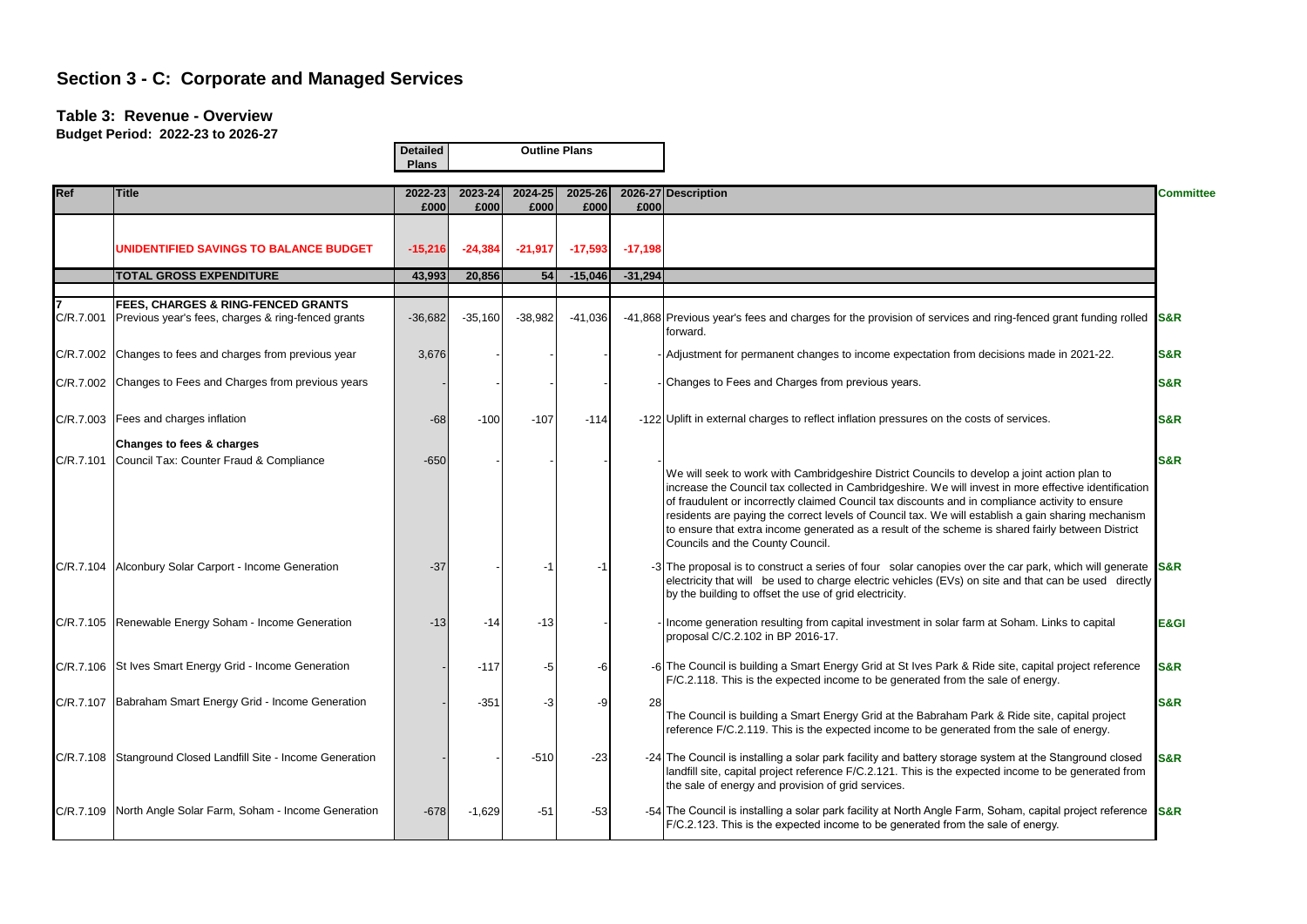### **Table 3: Revenue - Overview**

|            |                                                                                                     | <b>Detailed</b><br><b>Plans</b> |                 | <b>Outline Plans</b> |                 |           |                                                                                                                                                                                                                                                                                                                                                                                                                                                                                                                                                         |                  |  |  |
|------------|-----------------------------------------------------------------------------------------------------|---------------------------------|-----------------|----------------------|-----------------|-----------|---------------------------------------------------------------------------------------------------------------------------------------------------------------------------------------------------------------------------------------------------------------------------------------------------------------------------------------------------------------------------------------------------------------------------------------------------------------------------------------------------------------------------------------------------------|------------------|--|--|
| <b>Ref</b> | <b>Title</b>                                                                                        | 2022-23<br>£000                 | 2023-24<br>£000 | 2024-25<br>£000      | 2025-26<br>£000 | £000      | 2026-27 Description                                                                                                                                                                                                                                                                                                                                                                                                                                                                                                                                     | <b>Committee</b> |  |  |
|            | UNIDENTIFIED SAVINGS TO BALANCE BUDGET                                                              | $-15,216$                       | $-24,384$       | $-21,917$            | $-17,593$       | $-17,198$ |                                                                                                                                                                                                                                                                                                                                                                                                                                                                                                                                                         |                  |  |  |
|            | <b>TOTAL GROSS EXPENDITURE</b>                                                                      | 43,993                          | 20,856          | 54                   | $-15,046$       | $-31,294$ |                                                                                                                                                                                                                                                                                                                                                                                                                                                                                                                                                         |                  |  |  |
| C/R.7.001  | <b>FEES, CHARGES &amp; RING-FENCED GRANTS</b><br>Previous year's fees, charges & ring-fenced grants | $-36,682$                       | $-35,160$       | $-38,982$            | $-41,036$       |           | -41,868 Previous year's fees and charges for the provision of services and ring-fenced grant funding rolled S&R<br>forward.                                                                                                                                                                                                                                                                                                                                                                                                                             |                  |  |  |
| C/R.7.002  | Changes to fees and charges from previous year                                                      | 3,676                           |                 |                      |                 |           | - Adjustment for permanent changes to income expectation from decisions made in 2021-22.                                                                                                                                                                                                                                                                                                                                                                                                                                                                | S&R              |  |  |
|            | C/R.7.002 Changes to Fees and Charges from previous years                                           |                                 |                 |                      |                 |           | - Changes to Fees and Charges from previous years.                                                                                                                                                                                                                                                                                                                                                                                                                                                                                                      | <b>S&amp;R</b>   |  |  |
|            | C/R.7.003 Fees and charges inflation                                                                | $-68$                           | $-100$          | $-107$               | $-114$          |           | -122 Uplift in external charges to reflect inflation pressures on the costs of services.                                                                                                                                                                                                                                                                                                                                                                                                                                                                | <b>S&amp;R</b>   |  |  |
| C/R.7.101  | Changes to fees & charges<br>Council Tax: Counter Fraud & Compliance                                | $-650$                          |                 |                      |                 |           | We will seek to work with Cambridgeshire District Councils to develop a joint action plan to<br>increase the Council tax collected in Cambridgeshire. We will invest in more effective identification<br>of fraudulent or incorrectly claimed Council tax discounts and in compliance activity to ensure<br>residents are paying the correct levels of Council tax. We will establish a gain sharing mechanism<br>to ensure that extra income generated as a result of the scheme is shared fairly between District<br>Councils and the County Council. | <b>S&amp;R</b>   |  |  |
|            | C/R.7.104 Alconbury Solar Carport - Income Generation                                               | $-37$                           |                 | -1                   | -1              |           | -3 The proposal is to construct a series of four solar canopies over the car park, which will generate S&R<br>electricity that will be used to charge electric vehicles (EVs) on site and that can be used directly<br>by the building to offset the use of grid electricity.                                                                                                                                                                                                                                                                           |                  |  |  |
|            | C/R.7.105 Renewable Energy Soham - Income Generation                                                | $-13$                           | $-14$           | $-13$                |                 |           | Income generation resulting from capital investment in solar farm at Soham. Links to capital<br>proposal C/C.2.102 in BP 2016-17.                                                                                                                                                                                                                                                                                                                                                                                                                       | E&GI             |  |  |
|            | C/R.7.106 St Ives Smart Energy Grid - Income Generation                                             |                                 | $-117$          | -5                   | -6              |           | -6 The Council is building a Smart Energy Grid at St Ives Park & Ride site, capital project reference<br>F/C.2.118. This is the expected income to be generated from the sale of energy.                                                                                                                                                                                                                                                                                                                                                                | S&R              |  |  |
|            | C/R.7.107 Babraham Smart Energy Grid - Income Generation                                            |                                 | $-351$          | -3                   | -9              | 28        | The Council is building a Smart Energy Grid at the Babraham Park & Ride site, capital project<br>reference F/C.2.119. This is the expected income to be generated from the sale of energy.                                                                                                                                                                                                                                                                                                                                                              | <b>S&amp;R</b>   |  |  |
|            | C/R.7.108 Stanground Closed Landfill Site - Income Generation                                       |                                 |                 | $-510$               | $-23$           |           | -24 The Council is installing a solar park facility and battery storage system at the Stanground closed<br>landfill site, capital project reference F/C.2.121. This is the expected income to be generated from<br>the sale of energy and provision of grid services.                                                                                                                                                                                                                                                                                   | <b>S&amp;R</b>   |  |  |
|            | C/R.7.109 North Angle Solar Farm, Soham - Income Generation                                         | $-678$                          | $-1,629$        | $-51$                | $-53$           |           | -54 The Council is installing a solar park facility at North Angle Farm, Soham, capital project reference <b>S&amp;R</b><br>F/C.2.123. This is the expected income to be generated from the sale of energy.                                                                                                                                                                                                                                                                                                                                             |                  |  |  |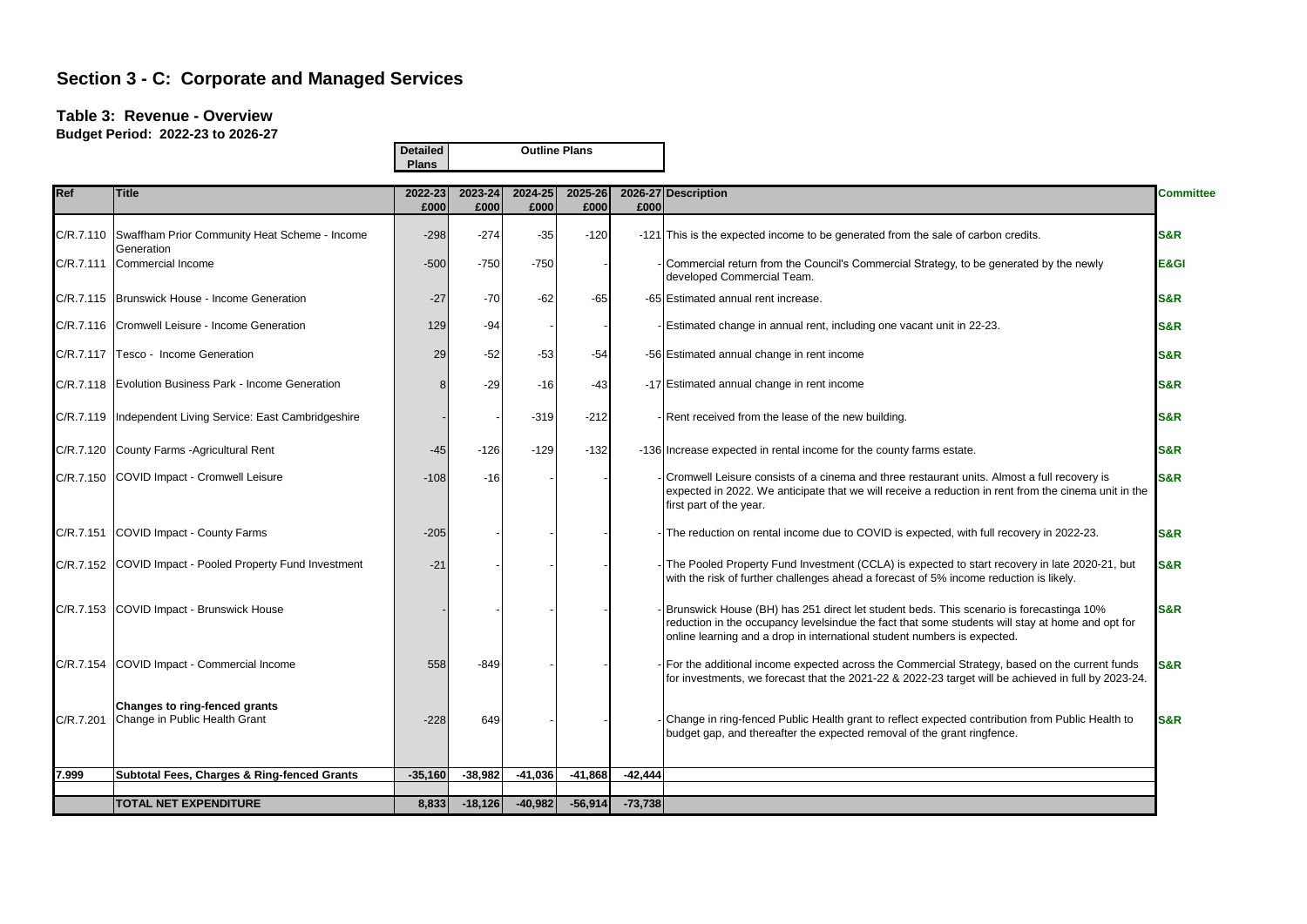### **Table 3: Revenue - Overview**

|            |                                                                | <b>Detailed</b><br><b>Plans</b> |                 | <b>Outline Plans</b> |                 |           |                                                                                                                                                                                                                                                                         |                  |
|------------|----------------------------------------------------------------|---------------------------------|-----------------|----------------------|-----------------|-----------|-------------------------------------------------------------------------------------------------------------------------------------------------------------------------------------------------------------------------------------------------------------------------|------------------|
| <b>Ref</b> | <b>Title</b>                                                   | 2022-23<br>£000                 | 2023-24<br>£000 | 2024-25<br>£000      | 2025-26<br>£000 | £000      | 2026-27 Description                                                                                                                                                                                                                                                     | <b>Committee</b> |
| C/R.7.110  | Swaffham Prior Community Heat Scheme - Income<br>Generation    | $-298$                          | $-274$          | $-35$                | $-120$          |           | -121 This is the expected income to be generated from the sale of carbon credits.                                                                                                                                                                                       | S&R              |
|            | C/R.7.111 Commercial Income                                    | $-500$                          | $-750$          | $-750$               |                 |           | - Commercial return from the Council's Commercial Strategy, to be generated by the newly<br>developed Commercial Team.                                                                                                                                                  | E&GI             |
|            | C/R.7.115 Brunswick House - Income Generation                  | $-27$                           | $-70$           | $-62$                | $-65$           |           | -65 Estimated annual rent increase.                                                                                                                                                                                                                                     | <b>S&amp;R</b>   |
|            | C/R.7.116 Cromwell Leisure - Income Generation                 | 129                             | $-94$           |                      |                 |           | - Estimated change in annual rent, including one vacant unit in 22-23.                                                                                                                                                                                                  | <b>S&amp;R</b>   |
| C/R.7.117  | Tesco - Income Generation                                      | 29                              | $-52$           | $-53$                | $-54$           |           | -56 Estimated annual change in rent income                                                                                                                                                                                                                              | <b>S&amp;R</b>   |
|            | C/R.7.118   Evolution Business Park - Income Generation        |                                 | $-29$           | $-16$                | $-43$           |           | -17 Estimated annual change in rent income                                                                                                                                                                                                                              | S&R              |
|            | C/R.7.119   Independent Living Service: East Cambridgeshire    |                                 |                 | $-319$               | $-212$          |           | - Rent received from the lease of the new building.                                                                                                                                                                                                                     | S&R              |
|            | C/R.7.120 County Farms - Agricultural Rent                     | $-45$                           | $-126$          | $-129$               | $-132$          |           | -136 Increase expected in rental income for the county farms estate.                                                                                                                                                                                                    | S&R              |
| C/R.7.150  | COVID Impact - Cromwell Leisure                                | $-108$                          | $-16$           |                      |                 |           | Cromwell Leisure consists of a cinema and three restaurant units. Almost a full recovery is<br>expected in 2022. We anticipate that we will receive a reduction in rent from the cinema unit in the<br>first part of the year.                                          | <b>S&amp;R</b>   |
| C/R.7.151  | COVID Impact - County Farms                                    | $-205$                          |                 |                      |                 |           | - The reduction on rental income due to COVID is expected, with full recovery in 2022-23.                                                                                                                                                                               | <b>S&amp;R</b>   |
|            | C/R.7.152 COVID Impact - Pooled Property Fund Investment       | $-21$                           |                 |                      |                 |           | - The Pooled Property Fund Investment (CCLA) is expected to start recovery in late 2020-21, but<br>with the risk of further challenges ahead a forecast of 5% income reduction is likely.                                                                               | <b>S&amp;R</b>   |
| C/R.7.153  | COVID Impact - Brunswick House                                 |                                 |                 |                      |                 |           | Brunswick House (BH) has 251 direct let student beds. This scenario is forecastinga 10%<br>reduction in the occupancy levelsindue the fact that some students will stay at home and opt for<br>online learning and a drop in international student numbers is expected. | <b>S&amp;R</b>   |
| C/R.7.154  | COVID Impact - Commercial Income                               | 558                             | $-849$          |                      |                 |           | For the additional income expected across the Commercial Strategy, based on the current funds<br>for investments, we forecast that the 2021-22 & 2022-23 target will be achieved in full by 2023-24.                                                                    | <b>S&amp;R</b>   |
| C/R.7.201  | Changes to ring-fenced grants<br>Change in Public Health Grant | $-228$                          | 649             |                      |                 |           | - Change in ring-fenced Public Health grant to reflect expected contribution from Public Health to<br>budget gap, and thereafter the expected removal of the grant ringfence.                                                                                           | <b>S&amp;R</b>   |
| 7.999      | <b>Subtotal Fees, Charges &amp; Ring-fenced Grants</b>         | $-35,160$                       | $-38,982$       | $-41,036$            | $-41,868$       | $-42,444$ |                                                                                                                                                                                                                                                                         |                  |
|            | <b>TOTAL NET EXPENDITURE</b>                                   | 8,833                           | $-18,126$       | $-40,982$            | $-56,914$       | $-73,738$ |                                                                                                                                                                                                                                                                         |                  |